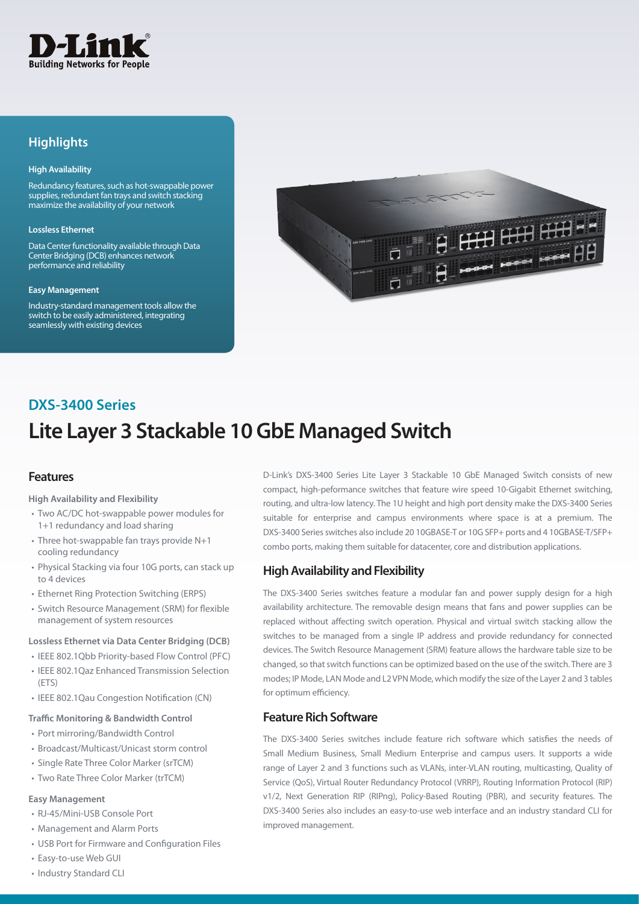

## **Highlights**

#### **High Availability**

Redundancy features, such as hot-swappable power supplies, redundant fan trays and switch stacking maximize the availability of your network

#### **Lossless Ethernet**

Data Center functionality available through Data Center Bridging (DCB) enhances network performance and reliability

#### **Easy Management**

Industry-standard management tools allow the switch to be easily administered, integrating seamlessly with existing devices



## **DXS-3400 Series**

# **Lite Layer 3 Stackable 10 GbE Managed Switch**

### **Features**

**High Availability and Flexibility**

- Two AC/DC hot-swappable power modules for 1+1 redundancy and load sharing
- Three hot-swappable fan trays provide N+1 cooling redundancy
- Physical Stacking via four 10G ports, can stack up to 4 devices
- Ethernet Ring Protection Switching (ERPS)
- Switch Resource Management (SRM) for flexible management of system resources

### **Lossless Ethernet via Data Center Bridging (DCB)**

- IEEE 802.1Obb Priority-based Flow Control (PFC) • IEEE 802.1Qaz Enhanced Transmission Selection (ETS)
- • IEEE 802.1Qau Congestion Notification (CN)

#### **Traffic Monitoring & Bandwidth Control**

- Port mirroring/Bandwidth Control
- Broadcast/Multicast/Unicast storm control
- Single Rate Three Color Marker (srTCM)
- Two Rate Three Color Marker (trTCM)

#### **Easy Management**

- RJ-45/Mini-USB Console Port
- • Management and Alarm Ports
- • USB Port for Firmware and Configuration Files
- • Easy-to-use Web GUI
- • Industry Standard CLI

D-Link's DXS-3400 Series Lite Layer 3 Stackable 10 GbE Managed Switch consists of new compact, high-peformance switches that feature wire speed 10-Gigabit Ethernet switching, routing, and ultra-low latency. The 1U height and high port density make the DXS-3400 Series suitable for enterprise and campus environments where space is at a premium. The DXS-3400 Series switches also include 20 10GBASE-T or 10G SFP+ ports and 4 10GBASE-T/SFP+ combo ports, making them suitable for datacenter, core and distribution applications.

### **High Availability and Flexibility**

The DXS-3400 Series switches feature a modular fan and power supply design for a high availability architecture. The removable design means that fans and power supplies can be replaced without affecting switch operation. Physical and virtual switch stacking allow the switches to be managed from a single IP address and provide redundancy for connected devices. The Switch Resource Management (SRM) feature allows the hardware table size to be changed, so that switch functions can be optimized based on the use of the switch. There are 3 modes; IP Mode, LAN Mode and L2 VPN Mode, which modify the size of the Layer 2 and 3 tables for optimum efficiency.

### **Feature Rich Software**

The DXS-3400 Series switches include feature rich software which satisfies the needs of Small Medium Business, Small Medium Enterprise and campus users. It supports a wide range of Layer 2 and 3 functions such as VLANs, inter-VLAN routing, multicasting, Quality of Service (QoS), Virtual Router Redundancy Protocol (VRRP), Routing Information Protocol (RIP) v1/2, Next Generation RIP (RIPng), Policy-Based Routing (PBR), and security features. The DXS-3400 Series also includes an easy-to-use web interface and an industry standard CLI for improved management.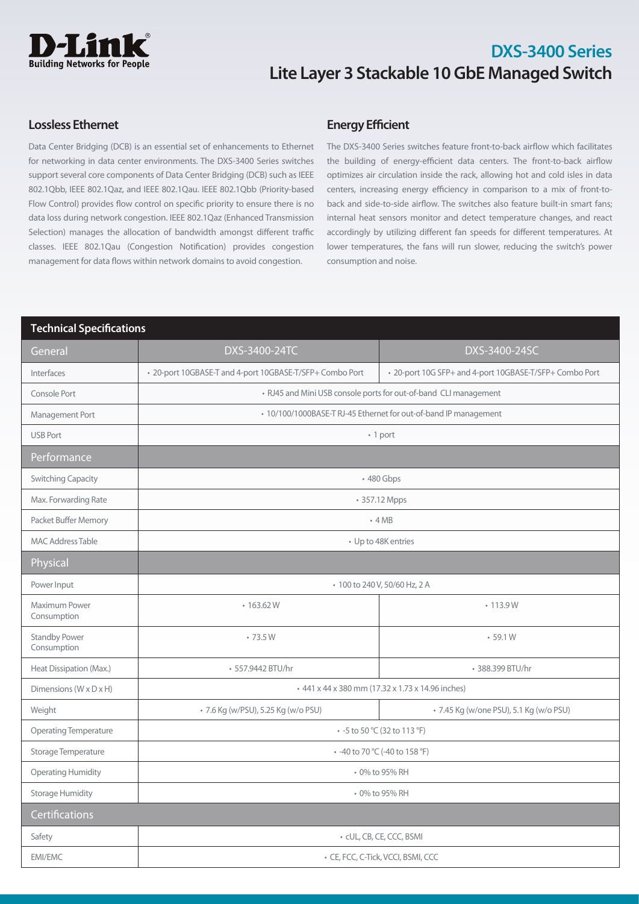

## **Lossless Ethernet**

Data Center Bridging (DCB) is an essential set of enhancements to Ethernet for networking in data center environments. The DXS-3400 Series switches support several core components of Data Center Bridging (DCB) such as IEEE 802.1Qbb, IEEE 802.1Qaz, and IEEE 802.1Qau. IEEE 802.1Qbb (Priority-based Flow Control) provides flow control on specific priority to ensure there is no data loss during network congestion. IEEE 802.1Qaz (Enhanced Transmission Selection) manages the allocation of bandwidth amongst different traffic classes. IEEE 802.1Qau (Congestion Notification) provides congestion management for data flows within network domains to avoid congestion.

## **Energy Efficient**

The DXS-3400 Series switches feature front-to-back airflow which facilitates the building of energy-efficient data centers. The front-to-back airflow optimizes air circulation inside the rack, allowing hot and cold isles in data centers, increasing energy efficiency in comparison to a mix of front-toback and side-to-side airflow. The switches also feature built-in smart fans; internal heat sensors monitor and detect temperature changes, and react accordingly by utilizing different fan speeds for different temperatures. At lower temperatures, the fans will run slower, reducing the switch's power consumption and noise.

### **Technical Specifications**

| General                             | DXS-3400-24TC                                                    | DXS-3400-24SC                                           |
|-------------------------------------|------------------------------------------------------------------|---------------------------------------------------------|
| Interfaces                          | • 20-port 10GBASE-T and 4-port 10GBASE-T/SFP+ Combo Port         | * 20-port 10G SFP+ and 4-port 10GBASE-T/SFP+ Combo Port |
| Console Port                        | • RJ45 and Mini USB console ports for out-of-band CLI management |                                                         |
| Management Port                     | • 10/100/1000BASE-T RJ-45 Ethernet for out-of-band IP management |                                                         |
| <b>USB Port</b>                     | • 1 port                                                         |                                                         |
| Performance                         |                                                                  |                                                         |
| <b>Switching Capacity</b>           | • 480 Gbps                                                       |                                                         |
| Max. Forwarding Rate                | • 357.12 Mpps                                                    |                                                         |
| Packet Buffer Memory                | $-4MB$                                                           |                                                         |
| <b>MAC Address Table</b>            | • Up to 48K entries                                              |                                                         |
| Physical                            |                                                                  |                                                         |
| Power Input                         | • 100 to 240 V, 50/60 Hz, 2 A                                    |                                                         |
| Maximum Power<br>Consumption        | $\cdot$ 163.62 W                                                 | • 113.9 W                                               |
| <b>Standby Power</b><br>Consumption | •73.5W                                                           | $-59.1W$                                                |
| Heat Dissipation (Max.)             | • 557.9442 BTU/hr                                                | • 388.399 BTU/hr                                        |
| Dimensions (W x D x H)              | + 441 x 44 x 380 mm (17.32 x 1.73 x 14.96 inches)                |                                                         |
| Weight                              | • 7.6 Kg (w/PSU), 5.25 Kg (w/o PSU)                              | • 7.45 Kg (w/one PSU), 5.1 Kg (w/o PSU)                 |
| <b>Operating Temperature</b>        | • -5 to 50 °C (32 to 113 °F)                                     |                                                         |
| Storage Temperature                 | - -40 to 70 °C (-40 to 158 °F)                                   |                                                         |
| <b>Operating Humidity</b>           | • 0% to 95% RH                                                   |                                                         |
| <b>Storage Humidity</b>             | • 0% to 95% RH                                                   |                                                         |
| Certifications                      |                                                                  |                                                         |
| Safety                              | • cUL, CB, CE, CCC, BSMI                                         |                                                         |
| <b>EMI/EMC</b>                      | · CE, FCC, C-Tick, VCCI, BSMI, CCC                               |                                                         |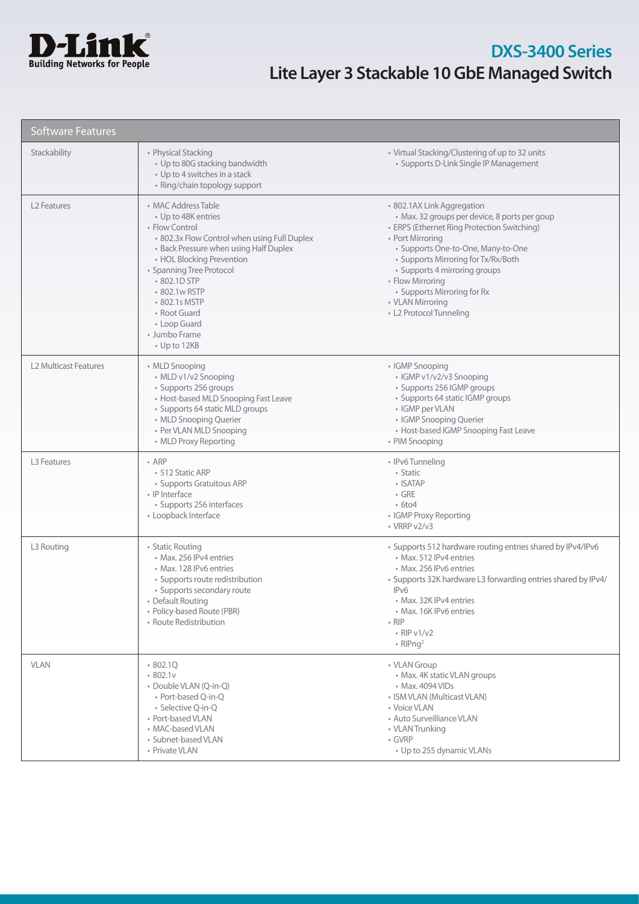

| <b>Software Features</b>     |                                                                                                                                                                                                                                                                                                                                          |                                                                                                                                                                                                                                                                                                                                                                |
|------------------------------|------------------------------------------------------------------------------------------------------------------------------------------------------------------------------------------------------------------------------------------------------------------------------------------------------------------------------------------|----------------------------------------------------------------------------------------------------------------------------------------------------------------------------------------------------------------------------------------------------------------------------------------------------------------------------------------------------------------|
| Stackability                 | • Physical Stacking<br>• Up to 80G stacking bandwidth<br>• Up to 4 switches in a stack<br>• Ring/chain topology support                                                                                                                                                                                                                  | • Virtual Stacking/Clustering of up to 32 units<br>• Supports D-Link Single IP Management                                                                                                                                                                                                                                                                      |
| L <sub>2</sub> Features      | • MAC Address Table<br>• Up to 48K entries<br>• Flow Control<br>• 802.3x Flow Control when using Full Duplex<br>• Back Pressure when using Half Duplex<br>• HOL Blocking Prevention<br>• Spanning Tree Protocol<br>• 802.1D STP<br>• 802.1w RSTP<br>• 802.1s MSTP<br>• Root Guard<br>• Loop Guard<br>• Jumbo Frame<br>$\cdot$ Up to 12KB | • 802.1AX Link Aggregation<br>· Max. 32 groups per device, 8 ports per goup<br>• ERPS (Ethernet Ring Protection Switching)<br>• Port Mirroring<br>· Supports One-to-One, Many-to-One<br>• Supports Mirroring for Tx/Rx/Both<br>• Supports 4 mirroring groups<br>• Flow Mirroring<br>• Supports Mirroring for Rx<br>• VLAN Mirroring<br>• L2 Protocol Tunneling |
| <b>L2 Multicast Features</b> | • MLD Snooping<br>• MLD v1/v2 Snooping<br>• Supports 256 groups<br>• Host-based MLD Snooping Fast Leave<br>• Supports 64 static MLD groups<br>• MLD Snooping Querier<br>• Per VLAN MLD Snooping<br>• MLD Proxy Reporting                                                                                                                 | • IGMP Snooping<br>• IGMP v1/v2/v3 Snooping<br>• Supports 256 IGMP groups<br>• Supports 64 static IGMP groups<br>• IGMP per VLAN<br>• IGMP Snooping Querier<br>• Host-based IGMP Snooping Fast Leave<br>• PIM Snooping                                                                                                                                         |
| L <sub>3</sub> Features      | $-$ ARP<br>• 512 Static ARP<br>• Supports Gratuitous ARP<br>• IP Interface<br>· Supports 256 interfaces<br>• Loopback Interface                                                                                                                                                                                                          | • IPv6 Tunneling<br>• Static<br>• ISATAP<br>$\cdot$ GRE<br>$\cdot$ 6to4<br>• IGMP Proxy Reporting<br>$\cdot$ VRRP v2/v3                                                                                                                                                                                                                                        |
| L3 Routing                   | • Static Routing<br>• Max. 256 IPv4 entries<br>• Max. 128 IPv6 entries<br>• Supports route redistribution<br>• Supports secondary route<br>• Default Routing<br>• Policy-based Route (PBR)<br>• Route Redistribution                                                                                                                     | • Supports 512 hardware routing entries shared by IPv4/IPv6<br>• Max. 512 IPv4 entries<br>• Max. 256 IPv6 entries<br>• Supports 32K hardware L3 forwarding entries shared by IPv4/<br>IP <sub>v</sub> 6<br>• Max. 32K IPv4 entries<br>· Max. 16K IPv6 entries<br>$\cdot$ RIP<br>$\cdot$ RIP v1/v2<br>• RIPng <sup>2</sup>                                      |
| <b>VLAN</b>                  | 802.1Q<br>.802.1v<br>• Double VLAN (O-in-O)<br>• Port-based Q-in-Q<br>• Selective O-in-O<br>• Port-based VLAN<br>• MAC-based VLAN<br>• Subnet-based VLAN<br>• Private VLAN                                                                                                                                                               | • VLAN Group<br>• Max. 4K static VLAN groups<br>• Max. 4094 VIDs<br>• ISM VLAN (Multicast VLAN)<br>• Voice VLAN<br>• Auto Surveilliance VLAN<br>• VLAN Trunking<br>• GVRP<br>• Up to 255 dynamic VLANs                                                                                                                                                         |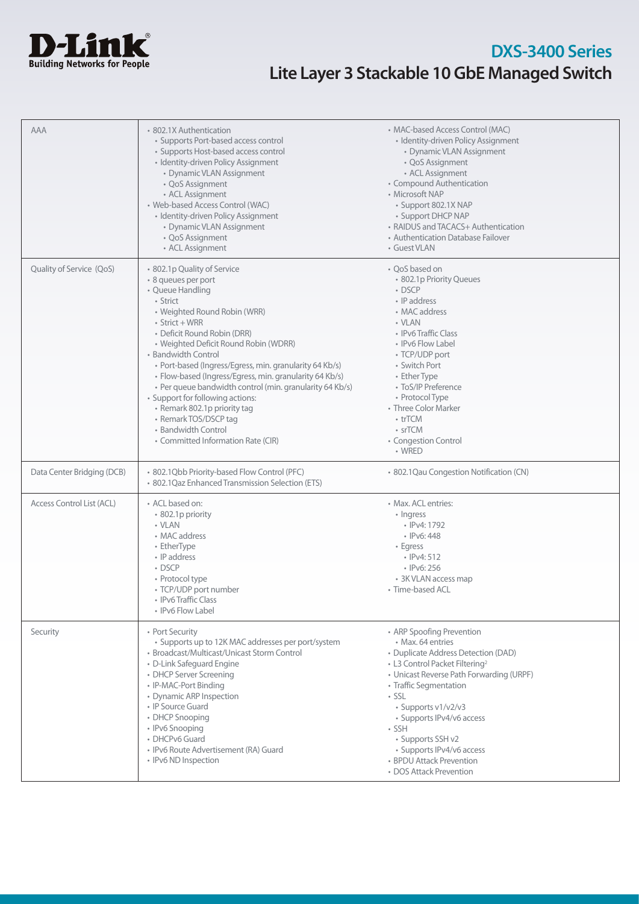

| <b>AAA</b>                 | • 802.1X Authentication<br>• Supports Port-based access control<br>• Supports Host-based access control<br>· Identity-driven Policy Assignment<br>• Dynamic VLAN Assignment<br>• QoS Assignment<br>• ACL Assignment<br>• Web-based Access Control (WAC)<br>· Identity-driven Policy Assignment<br>• Dynamic VLAN Assignment<br>• QoS Assignment<br>• ACL Assignment                                                                                                                                                                                                                   | • MAC-based Access Control (MAC)<br>• Identity-driven Policy Assignment<br>• Dynamic VLAN Assignment<br>• QoS Assignment<br>• ACL Assignment<br>• Compound Authentication<br>• Microsoft NAP<br>• Support 802.1X NAP<br>• Support DHCP NAP<br>• RAIDUS and TACACS+ Authentication<br>• Authentication Database Failover<br>• Guest VLAN                                                        |
|----------------------------|---------------------------------------------------------------------------------------------------------------------------------------------------------------------------------------------------------------------------------------------------------------------------------------------------------------------------------------------------------------------------------------------------------------------------------------------------------------------------------------------------------------------------------------------------------------------------------------|------------------------------------------------------------------------------------------------------------------------------------------------------------------------------------------------------------------------------------------------------------------------------------------------------------------------------------------------------------------------------------------------|
| Quality of Service (QoS)   | • 802.1p Quality of Service<br>· 8 queues per port<br>• Queue Handling<br>• Strict<br>• Weighted Round Robin (WRR)<br>$\cdot$ Strict + WRR<br>• Deficit Round Robin (DRR)<br>• Weighted Deficit Round Robin (WDRR)<br>• Bandwidth Control<br>· Port-based (Ingress/Egress, min. granularity 64 Kb/s)<br>• Flow-based (Ingress/Egress, min. granularity 64 Kb/s)<br>• Per queue bandwidth control (min. granularity 64 Kb/s)<br>• Support for following actions:<br>• Remark 802.1p priority tag<br>• Remark TOS/DSCP tag<br>• Bandwidth Control<br>• Committed Information Rate (CIR) | • QoS based on<br>• 802.1p Priority Queues<br>$\cdot$ DSCP<br>• IP address<br>• MAC address<br>• VLAN<br>• IPv6 Traffic Class<br>• IPv6 Flow Label<br>• TCP/UDP port<br>• Switch Port<br>• Ether Type<br>• ToS/IP Preference<br>• Protocol Type<br>• Three Color Marker<br>• trTCM<br>• srTCM<br>• Congestion Control<br>• WRED                                                                |
| Data Center Bridging (DCB) | · 802.1Qbb Priority-based Flow Control (PFC)<br>• 802.1 Qaz Enhanced Transmission Selection (ETS)                                                                                                                                                                                                                                                                                                                                                                                                                                                                                     | · 802.1Qau Congestion Notification (CN)                                                                                                                                                                                                                                                                                                                                                        |
| Access Control List (ACL)  | • ACL based on:<br>• 802.1p priority<br>• VLAN<br>• MAC address<br>• EtherType<br>• IP address<br>• DSCP<br>• Protocol type<br>• TCP/UDP port number<br>• IPv6 Traffic Class<br>• IPv6 Flow Label                                                                                                                                                                                                                                                                                                                                                                                     | • Max. ACL entries:<br>• Ingress<br>• IPv4: 1792<br>$\cdot$ IPv6: 448<br>$\cdot$ Egress<br>$\cdot$ IPv4: 512<br>$\cdot$ IPv6: 256<br>• 3K VLAN access map<br>• Time-based ACL                                                                                                                                                                                                                  |
| Security                   | • Port Security<br>• Supports up to 12K MAC addresses per port/system<br>• Broadcast/Multicast/Unicast Storm Control<br>• D-Link Safeguard Engine<br>• DHCP Server Screening<br>• IP-MAC-Port Binding<br>• Dynamic ARP Inspection<br>• IP Source Guard<br>• DHCP Snooping<br>• IPv6 Snooping<br>• DHCPv6 Guard<br>· IPv6 Route Advertisement (RA) Guard<br>• IPv6 ND Inspection                                                                                                                                                                                                       | • ARP Spoofing Prevention<br>• Max. 64 entries<br>• Duplicate Address Detection (DAD)<br>• L3 Control Packet Filtering <sup>2</sup><br>• Unicast Reverse Path Forwarding (URPF)<br>• Traffic Segmentation<br>· SSL<br>• Supports v1/v2/v3<br>• Supports IPv4/v6 access<br>$\cdot$ SSH<br>· Supports SSH v2<br>• Supports IPv4/v6 access<br>• BPDU Attack Prevention<br>• DOS Attack Prevention |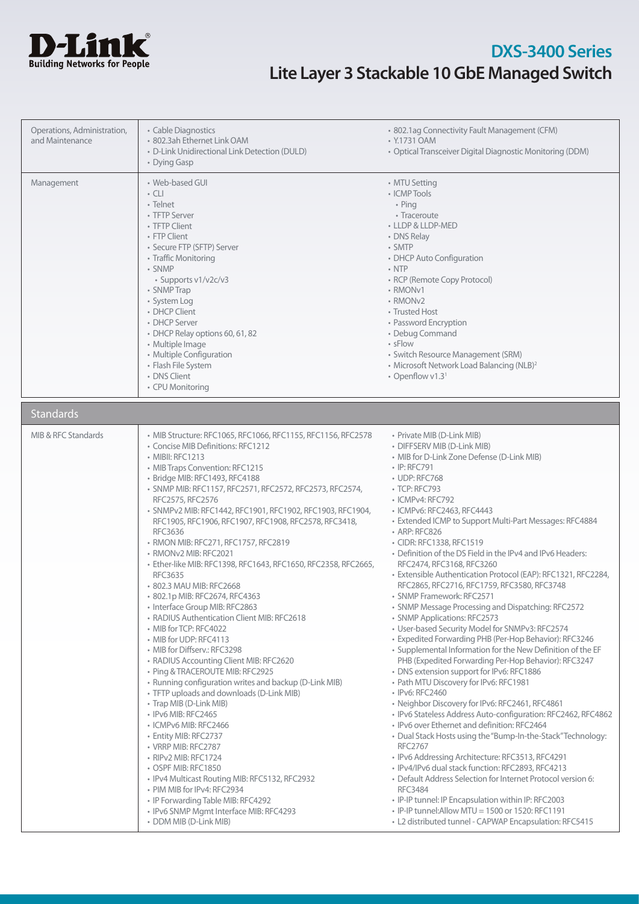

| Operations, Administration,<br>and Maintenance | • Cable Diagnostics<br>· 802.3ah Ethernet Link OAM<br>• D-Link Unidirectional Link Detection (DULD)<br>• Dying Gasp                                                                                                                                                                                                                                                                                                                                                                                                                                                                                                                                                                                                                                                                                                                                                                                                                                                                                                                                                                                                                                                                                                                                                                                                                                             | • 802.1ag Connectivity Fault Management (CFM)<br>• Y.1731 OAM<br>• Optical Transceiver Digital Diagnostic Monitoring (DDM)                                                                                                                                                                                                                                                                                                                                                                                                                                                                                                                                                                                                                                                                                                                                                                                                                                                                                                                                                                                                                                                                                                                                                                                                                                                                                                                                                                                                                                                                                              |
|------------------------------------------------|-----------------------------------------------------------------------------------------------------------------------------------------------------------------------------------------------------------------------------------------------------------------------------------------------------------------------------------------------------------------------------------------------------------------------------------------------------------------------------------------------------------------------------------------------------------------------------------------------------------------------------------------------------------------------------------------------------------------------------------------------------------------------------------------------------------------------------------------------------------------------------------------------------------------------------------------------------------------------------------------------------------------------------------------------------------------------------------------------------------------------------------------------------------------------------------------------------------------------------------------------------------------------------------------------------------------------------------------------------------------|-------------------------------------------------------------------------------------------------------------------------------------------------------------------------------------------------------------------------------------------------------------------------------------------------------------------------------------------------------------------------------------------------------------------------------------------------------------------------------------------------------------------------------------------------------------------------------------------------------------------------------------------------------------------------------------------------------------------------------------------------------------------------------------------------------------------------------------------------------------------------------------------------------------------------------------------------------------------------------------------------------------------------------------------------------------------------------------------------------------------------------------------------------------------------------------------------------------------------------------------------------------------------------------------------------------------------------------------------------------------------------------------------------------------------------------------------------------------------------------------------------------------------------------------------------------------------------------------------------------------------|
| Management                                     | • Web-based GUI<br>$\cdot$ CLI<br>• Telnet<br>• TFTP Server<br>• TFTP Client<br>• FTP Client<br>• Secure FTP (SFTP) Server<br>• Traffic Monitoring<br>· SNMP<br>• Supports v1/v2c/v3<br>• SNMP Trap<br>• System Log<br>• DHCP Client<br>• DHCP Server<br>• DHCP Relay options 60, 61, 82<br>• Multiple Image<br>• Multiple Configuration<br>• Flash File System<br>• DNS Client<br>• CPU Monitoring                                                                                                                                                                                                                                                                                                                                                                                                                                                                                                                                                                                                                                                                                                                                                                                                                                                                                                                                                             | • MTU Setting<br>• ICMP Tools<br>$\cdot$ Ping<br>• Traceroute<br>• LLDP & LLDP-MED<br>• DNS Relay<br>• SMTP<br>• DHCP Auto Configuration<br>$\cdot$ NTP<br>• RCP (Remote Copy Protocol)<br>• RMON <sub>v1</sub><br>• RMON <sub>v2</sub><br>• Trusted Host<br>• Password Encryption<br>• Debug Command<br>$\cdot$ sFlow<br>· Switch Resource Management (SRM)<br>• Microsoft Network Load Balancing (NLB) <sup>2</sup><br>• Openflow v1.31                                                                                                                                                                                                                                                                                                                                                                                                                                                                                                                                                                                                                                                                                                                                                                                                                                                                                                                                                                                                                                                                                                                                                                               |
| <b>Standards</b>                               |                                                                                                                                                                                                                                                                                                                                                                                                                                                                                                                                                                                                                                                                                                                                                                                                                                                                                                                                                                                                                                                                                                                                                                                                                                                                                                                                                                 |                                                                                                                                                                                                                                                                                                                                                                                                                                                                                                                                                                                                                                                                                                                                                                                                                                                                                                                                                                                                                                                                                                                                                                                                                                                                                                                                                                                                                                                                                                                                                                                                                         |
| MIB & RFC Standards                            | • MIB Structure: RFC1065, RFC1066, RFC1155, RFC1156, RFC2578<br>• Concise MIB Definitions: RFC1212<br>• MIBII: RFC1213<br>• MIB Traps Convention: RFC1215<br>· Bridge MIB: RFC1493, RFC4188<br>• SNMP MIB: RFC1157, RFC2571, RFC2572, RFC2573, RFC2574,<br>RFC2575, RFC2576<br>· SNMPv2 MIB: RFC1442, RFC1901, RFC1902, RFC1903, RFC1904,<br>RFC1905, RFC1906, RFC1907, RFC1908, RFC2578, RFC3418,<br>RFC3636<br>• RMON MIB: RFC271, RFC1757, RFC2819<br>• RMONv2 MIB: RFC2021<br>· Ether-like MIB: RFC1398, RFC1643, RFC1650, RFC2358, RFC2665,<br><b>RFC3635</b><br>• 802.3 MAU MIB: RFC2668<br>802.1p MIB: RFC2674, RFC4363<br>• Interface Group MIB: RFC2863<br>• RADIUS Authentication Client MIB: RFC2618<br>• MIB for TCP: RFC4022<br>• MIB for UDP: RFC4113<br>• MIB for Diffserv.: RFC3298<br>• RADIUS Accounting Client MIB: RFC2620<br>• Ping & TRACEROUTE MIB: RFC2925<br>• Running configuration writes and backup (D-Link MIB)<br>• TFTP uploads and downloads (D-Link MIB)<br>• Trap MIB (D-Link MIB)<br>• IPv6 MIB: RFC2465<br>• ICMPv6 MIB: RFC2466<br>• Entity MIB: RFC2737<br>• VRRP MIB: RFC2787<br>• RIPv2 MIB: RFC1724<br>• OSPF MIB: RFC1850<br>• IPv4 Multicast Routing MIB: RFC5132, RFC2932<br>• PIM MIB for IPv4: RFC2934<br>• IP Forwarding Table MIB: RFC4292<br>· IPv6 SNMP Mgmt Interface MIB: RFC4293<br>• DDM MIB (D-Link MIB) | • Private MIB (D-Link MIB)<br>• DIFFSERV MIB (D-Link MIB)<br>• MIB for D-Link Zone Defense (D-Link MIB)<br>• IP: RFC791<br>• UDP: RFC768<br>• TCP: RFC793<br>• ICMPv4: RFC792<br>· ICMPv6: RFC2463, RFC4443<br>• Extended ICMP to Support Multi-Part Messages: RFC4884<br>• ARP: RFC826<br>• CIDR: RFC1338, RFC1519<br>• Definition of the DS Field in the IPv4 and IPv6 Headers:<br>RFC2474, RFC3168, RFC3260<br>· Extensible Authentication Protocol (EAP): RFC1321, RFC2284,<br>RFC2865, RFC2716, RFC1759, RFC3580, RFC3748<br>· SNMP Framework: RFC2571<br>• SNMP Message Processing and Dispatching: RFC2572<br>• SNMP Applications: RFC2573<br>• User-based Security Model for SNMPv3: RFC2574<br>• Expedited Forwarding PHB (Per-Hop Behavior): RFC3246<br>• Supplemental Information for the New Definition of the EF<br>PHB (Expedited Forwarding Per-Hop Behavior): RFC3247<br>• DNS extension support for IPv6: RFC1886<br>• Path MTU Discovery for IPv6: RFC1981<br>• IPv6: RFC2460<br>· Neighbor Discovery for IPv6: RFC2461, RFC4861<br>· IPv6 Stateless Address Auto-configuration: RFC2462, RFC4862<br>• IPv6 over Ethernet and definition: RFC2464<br>• Dual Stack Hosts using the "Bump-In-the-Stack" Technology:<br><b>RFC2767</b><br>· IPv6 Addressing Architecture: RFC3513, RFC4291<br>· IPv4/IPv6 dual stack function: RFC2893, RFC4213<br>• Default Address Selection for Internet Protocol version 6:<br><b>RFC3484</b><br>· IP-IP tunnel: IP Encapsulation within IP: RFC2003<br>· IP-IP tunnel: Allow MTU = 1500 or 1520: RFC1191<br>• L2 distributed tunnel - CAPWAP Encapsulation: RFC5415 |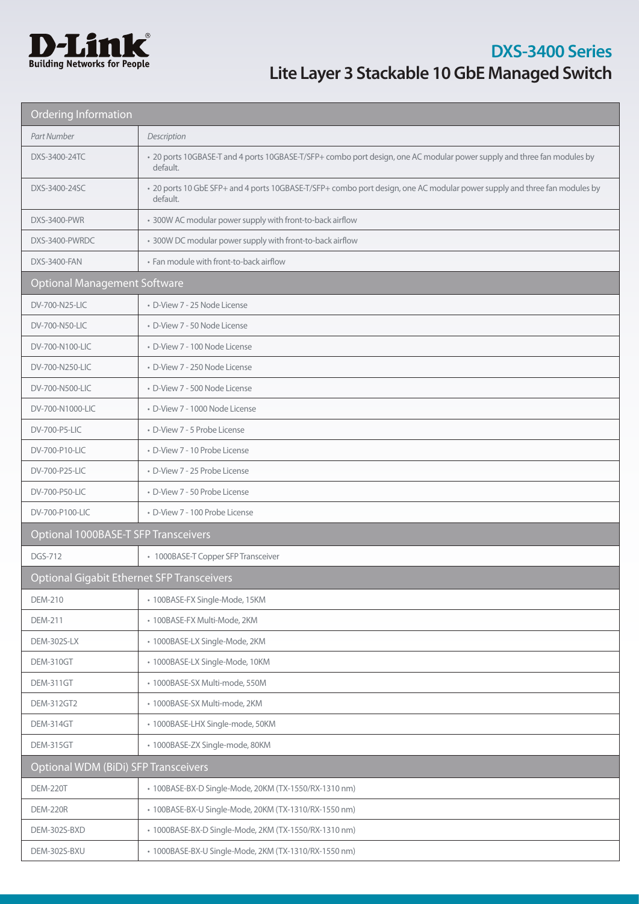

| <b>Ordering Information</b>                       |                                                                                                                                       |  |
|---------------------------------------------------|---------------------------------------------------------------------------------------------------------------------------------------|--|
| Part Number                                       | Description                                                                                                                           |  |
| DXS-3400-24TC                                     | • 20 ports 10GBASE-T and 4 ports 10GBASE-T/SFP+ combo port design, one AC modular power supply and three fan modules by<br>default.   |  |
| DXS-3400-24SC                                     | • 20 ports 10 GbE SFP+ and 4 ports 10GBASE-T/SFP+ combo port design, one AC modular power supply and three fan modules by<br>default. |  |
| <b>DXS-3400-PWR</b>                               | * 300W AC modular power supply with front-to-back airflow                                                                             |  |
| DXS-3400-PWRDC                                    | * 300W DC modular power supply with front-to-back airflow                                                                             |  |
| <b>DXS-3400-FAN</b>                               | • Fan module with front-to-back airflow                                                                                               |  |
| <b>Optional Management Software</b>               |                                                                                                                                       |  |
| DV-700-N25-LIC                                    | • D-View 7 - 25 Node License                                                                                                          |  |
| DV-700-N50-LIC                                    | • D-View 7 - 50 Node License                                                                                                          |  |
| DV-700-N100-LIC                                   | · D-View 7 - 100 Node License                                                                                                         |  |
| DV-700-N250-LIC                                   | • D-View 7 - 250 Node License                                                                                                         |  |
| DV-700-N500-LIC                                   | • D-View 7 - 500 Node License                                                                                                         |  |
| DV-700-N1000-LIC                                  | · D-View 7 - 1000 Node License                                                                                                        |  |
| DV-700-P5-LIC                                     | • D-View 7 - 5 Probe License                                                                                                          |  |
| DV-700-P10-LIC                                    | • D-View 7 - 10 Probe License                                                                                                         |  |
| DV-700-P25-LIC                                    | • D-View 7 - 25 Probe License                                                                                                         |  |
| DV-700-P50-LIC                                    | • D-View 7 - 50 Probe License                                                                                                         |  |
| DV-700-P100-LIC                                   | • D-View 7 - 100 Probe License                                                                                                        |  |
| Optional 1000BASE-T SFP Transceivers              |                                                                                                                                       |  |
| <b>DGS-712</b>                                    | • 1000BASE-T Copper SFP Transceiver                                                                                                   |  |
| <b>Optional Gigabit Ethernet SFP Transceivers</b> |                                                                                                                                       |  |
| <b>DEM-210</b>                                    | • 100BASE-FX Single-Mode, 15KM                                                                                                        |  |
| <b>DEM-211</b>                                    | • 100BASE-FX Multi-Mode, 2KM                                                                                                          |  |
| DEM-302S-LX                                       | · 1000BASE-LX Single-Mode, 2KM                                                                                                        |  |
| DEM-310GT                                         | · 1000BASE-LX Single-Mode, 10KM                                                                                                       |  |
| DEM-311GT                                         | · 1000BASE-SX Multi-mode, 550M                                                                                                        |  |
| DEM-312GT2                                        | · 1000BASE-SX Multi-mode, 2KM                                                                                                         |  |
| DEM-314GT                                         | · 1000BASE-LHX Single-mode, 50KM                                                                                                      |  |
| DEM-315GT                                         | · 1000BASE-ZX Single-mode, 80KM                                                                                                       |  |
|                                                   | <b>Optional WDM (BiDi) SFP Transceivers</b>                                                                                           |  |
| <b>DEM-220T</b>                                   | · 100BASE-BX-D Single-Mode, 20KM (TX-1550/RX-1310 nm)                                                                                 |  |
| <b>DEM-220R</b>                                   | · 100BASE-BX-U Single-Mode, 20KM (TX-1310/RX-1550 nm)                                                                                 |  |
| DEM-302S-BXD                                      | • 1000BASE-BX-D Single-Mode, 2KM (TX-1550/RX-1310 nm)                                                                                 |  |
| DEM-302S-BXU                                      | · 1000BASE-BX-U Single-Mode, 2KM (TX-1310/RX-1550 nm)                                                                                 |  |